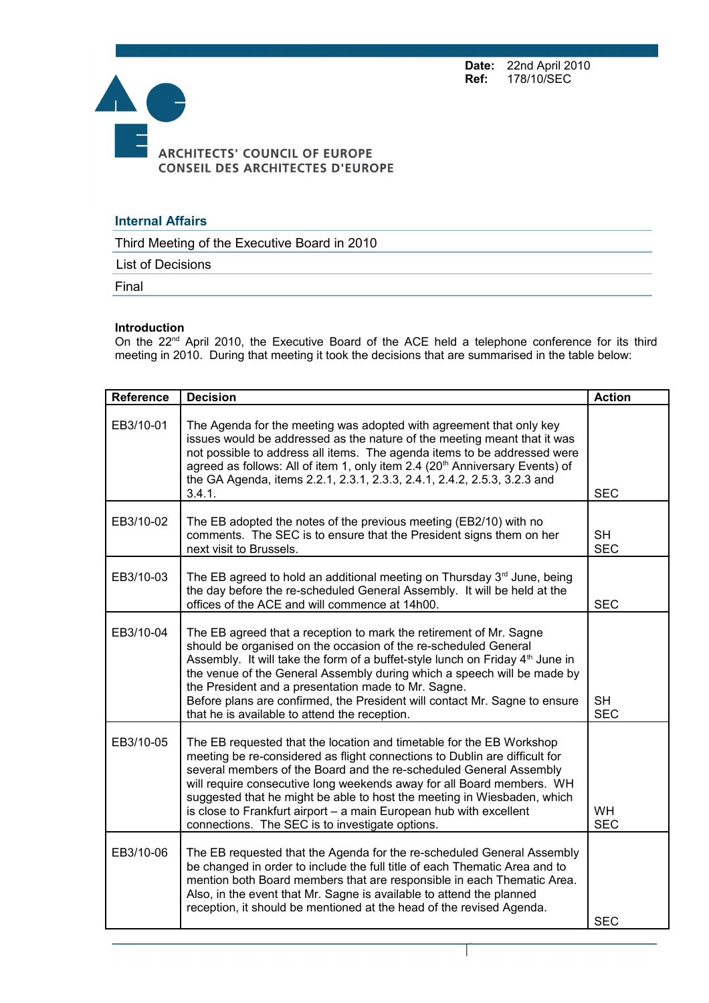**Date:** 22nd April 2010<br>**Ref:** 178/10/SEC **Ref:** 178/10/SEC



## **Internal Affairs**

Third Meeting of the Executive Board in 2010

List of Decisions

Final

## **Introduction**

On the 22<sup>nd</sup> April 2010, the Executive Board of the ACE held a telephone conference for its third meeting in 2010. During that meeting it took the decisions that are summarised in the table below:

| <b>Reference</b> | <b>Decision</b>                                                                                                                                                                                                                                                                                                                                                                                                                                                                                       | <b>Action</b>           |
|------------------|-------------------------------------------------------------------------------------------------------------------------------------------------------------------------------------------------------------------------------------------------------------------------------------------------------------------------------------------------------------------------------------------------------------------------------------------------------------------------------------------------------|-------------------------|
| EB3/10-01        | The Agenda for the meeting was adopted with agreement that only key<br>issues would be addressed as the nature of the meeting meant that it was<br>not possible to address all items. The agenda items to be addressed were<br>agreed as follows: All of item 1, only item 2.4 (20 <sup>th</sup> Anniversary Events) of<br>the GA Agenda, items 2.2.1, 2.3.1, 2.3.3, 2.4.1, 2.4.2, 2.5.3, 3.2.3 and<br>3.4.1.                                                                                         | <b>SEC</b>              |
| EB3/10-02        | The EB adopted the notes of the previous meeting (EB2/10) with no<br>comments. The SEC is to ensure that the President signs them on her<br>next visit to Brussels.                                                                                                                                                                                                                                                                                                                                   | <b>SH</b><br><b>SEC</b> |
| EB3/10-03        | The EB agreed to hold an additional meeting on Thursday $3rd$ June, being<br>the day before the re-scheduled General Assembly. It will be held at the<br>offices of the ACE and will commence at 14h00.                                                                                                                                                                                                                                                                                               | <b>SEC</b>              |
| EB3/10-04        | The EB agreed that a reception to mark the retirement of Mr. Sagne<br>should be organised on the occasion of the re-scheduled General<br>Assembly. It will take the form of a buffet-style lunch on Friday 4 <sup>th</sup> June in<br>the venue of the General Assembly during which a speech will be made by<br>the President and a presentation made to Mr. Sagne.<br>Before plans are confirmed, the President will contact Mr. Sagne to ensure<br>that he is available to attend the reception.   | <b>SH</b><br><b>SEC</b> |
| EB3/10-05        | The EB requested that the location and timetable for the EB Workshop<br>meeting be re-considered as flight connections to Dublin are difficult for<br>several members of the Board and the re-scheduled General Assembly<br>will require consecutive long weekends away for all Board members. WH<br>suggested that he might be able to host the meeting in Wiesbaden, which<br>is close to Frankfurt airport - a main European hub with excellent<br>connections. The SEC is to investigate options. | <b>WH</b><br><b>SEC</b> |
| EB3/10-06        | The EB requested that the Agenda for the re-scheduled General Assembly<br>be changed in order to include the full title of each Thematic Area and to<br>mention both Board members that are responsible in each Thematic Area.<br>Also, in the event that Mr. Sagne is available to attend the planned<br>reception, it should be mentioned at the head of the revised Agenda.                                                                                                                        | <b>SEC</b>              |

Page 1 sur 3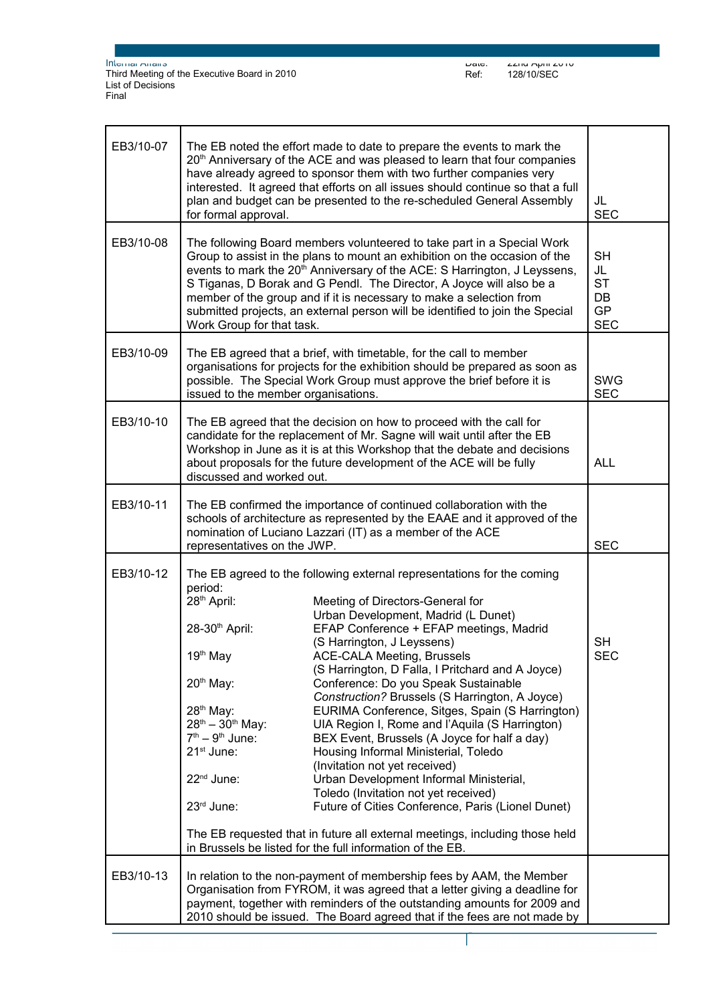Internal Affairs Third Meeting of the Executive Board in 2010 List of Decisions Final

| EB3/10-07 | The EB noted the effort made to date to prepare the events to mark the<br>20 <sup>th</sup> Anniversary of the ACE and was pleased to learn that four companies<br>have already agreed to sponsor them with two further companies very<br>interested. It agreed that efforts on all issues should continue so that a full<br>plan and budget can be presented to the re-scheduled General Assembly<br>for formal approval.                                                                                                                                                                                                                                                                                                                                                                                                                                                                                                                                                                                                                                                                                                                                                  | JL<br><b>SEC</b>                                              |
|-----------|----------------------------------------------------------------------------------------------------------------------------------------------------------------------------------------------------------------------------------------------------------------------------------------------------------------------------------------------------------------------------------------------------------------------------------------------------------------------------------------------------------------------------------------------------------------------------------------------------------------------------------------------------------------------------------------------------------------------------------------------------------------------------------------------------------------------------------------------------------------------------------------------------------------------------------------------------------------------------------------------------------------------------------------------------------------------------------------------------------------------------------------------------------------------------|---------------------------------------------------------------|
| EB3/10-08 | The following Board members volunteered to take part in a Special Work<br>Group to assist in the plans to mount an exhibition on the occasion of the<br>events to mark the 20 <sup>th</sup> Anniversary of the ACE: S Harrington, J Leyssens,<br>S Tiganas, D Borak and G Pendl. The Director, A Joyce will also be a<br>member of the group and if it is necessary to make a selection from<br>submitted projects, an external person will be identified to join the Special<br>Work Group for that task.                                                                                                                                                                                                                                                                                                                                                                                                                                                                                                                                                                                                                                                                 | <b>SH</b><br>JL<br><b>ST</b><br>DB<br><b>GP</b><br><b>SEC</b> |
| EB3/10-09 | The EB agreed that a brief, with timetable, for the call to member<br>organisations for projects for the exhibition should be prepared as soon as<br>possible. The Special Work Group must approve the brief before it is<br>issued to the member organisations.                                                                                                                                                                                                                                                                                                                                                                                                                                                                                                                                                                                                                                                                                                                                                                                                                                                                                                           | <b>SWG</b><br><b>SEC</b>                                      |
| EB3/10-10 | The EB agreed that the decision on how to proceed with the call for<br>candidate for the replacement of Mr. Sagne will wait until after the EB<br>Workshop in June as it is at this Workshop that the debate and decisions<br>about proposals for the future development of the ACE will be fully<br>discussed and worked out.                                                                                                                                                                                                                                                                                                                                                                                                                                                                                                                                                                                                                                                                                                                                                                                                                                             | <b>ALL</b>                                                    |
| EB3/10-11 | The EB confirmed the importance of continued collaboration with the<br>schools of architecture as represented by the EAAE and it approved of the<br>nomination of Luciano Lazzari (IT) as a member of the ACE<br>representatives on the JWP.                                                                                                                                                                                                                                                                                                                                                                                                                                                                                                                                                                                                                                                                                                                                                                                                                                                                                                                               | <b>SEC</b>                                                    |
| EB3/10-12 | The EB agreed to the following external representations for the coming<br>period:<br>28 <sup>th</sup> April:<br>Meeting of Directors-General for<br>Urban Development, Madrid (L Dunet)<br>28-30th April:<br>EFAP Conference + EFAP meetings, Madrid<br>(S Harrington, J Leyssens)<br>19 <sup>th</sup> May<br><b>ACE-CALA Meeting, Brussels</b><br>(S Harrington, D Falla, I Pritchard and A Joyce)<br>$20th$ May:<br>Conference: Do you Speak Sustainable<br>Construction? Brussels (S Harrington, A Joyce)<br>28 <sup>th</sup> May:<br>EURIMA Conference, Sitges, Spain (S Harrington)<br>$28^{th} - 30^{th}$ May:<br>UIA Region I, Rome and l'Aquila (S Harrington)<br>$7th - 9th$ June:<br>BEX Event, Brussels (A Joyce for half a day)<br>21 <sup>st</sup> June:<br>Housing Informal Ministerial, Toledo<br>(Invitation not yet received)<br>22 <sup>nd</sup> June:<br>Urban Development Informal Ministerial,<br>Toledo (Invitation not yet received)<br>23rd June:<br>Future of Cities Conference, Paris (Lionel Dunet)<br>The EB requested that in future all external meetings, including those held<br>in Brussels be listed for the full information of the EB. | <b>SH</b><br><b>SEC</b>                                       |
| EB3/10-13 | In relation to the non-payment of membership fees by AAM, the Member<br>Organisation from FYROM, it was agreed that a letter giving a deadline for<br>payment, together with reminders of the outstanding amounts for 2009 and<br>2010 should be issued. The Board agreed that if the fees are not made by                                                                                                                                                                                                                                                                                                                                                                                                                                                                                                                                                                                                                                                                                                                                                                                                                                                                 |                                                               |

Page 2 sur 3